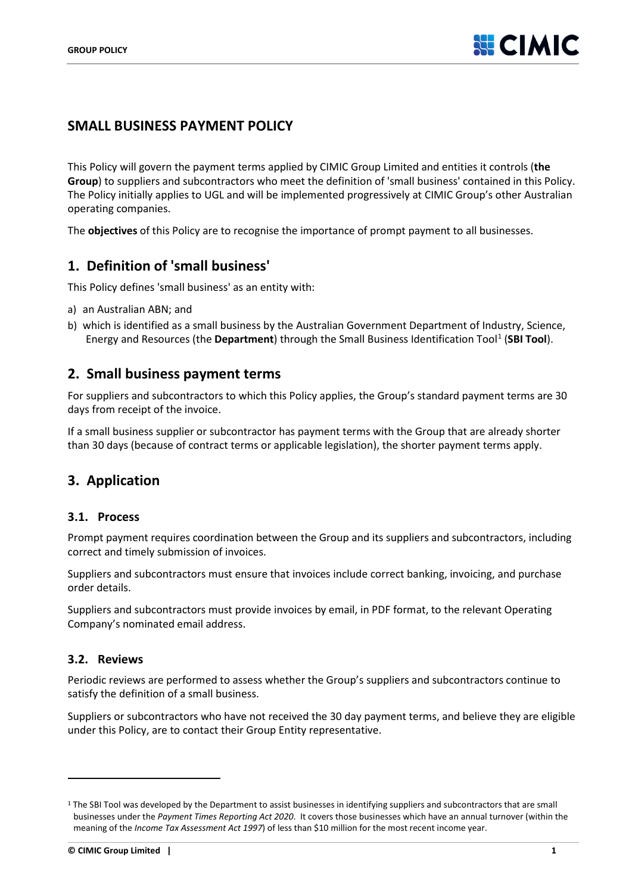## **SMALL BUSINESS PAYMENT POLICY**

This Policy will govern the payment terms applied by CIMIC Group Limited and entities it controls (**the Group**) to suppliers and subcontractors who meet the definition of 'small business' contained in this Policy. The Policy initially applies to UGL and will be implemented progressively at CIMIC Group's other Australian operating companies.

The **objectives** of this Policy are to recognise the importance of prompt payment to all businesses.

### **1. Definition of 'small business'**

This Policy defines 'small business' as an entity with:

- a) an Australian ABN; and
- b) which is identified as a small business by the Australian Government Department of Industry, Science, Energy and Resources (the **Department**) through the Small Business Identification Tool<sup>[1](#page-0-0)</sup> (SBI Tool).

#### **2. Small business payment terms**

For suppliers and subcontractors to which this Policy applies, the Group's standard payment terms are 30 days from receipt of the invoice.

If a small business supplier or subcontractor has payment terms with the Group that are already shorter than 30 days (because of contract terms or applicable legislation), the shorter payment terms apply.

## **3. Application**

#### **3.1. Process**

Prompt payment requires coordination between the Group and its suppliers and subcontractors, including correct and timely submission of invoices.

Suppliers and subcontractors must ensure that invoices include correct banking, invoicing, and purchase order details.

Suppliers and subcontractors must provide invoices by email, in PDF format, to the relevant Operating Company's nominated email address.

#### **3.2. Reviews**

Periodic reviews are performed to assess whether the Group's suppliers and subcontractors continue to satisfy the definition of a small business.

Suppliers or subcontractors who have not received the 30 day payment terms, and believe they are eligible under this Policy, are to contact their Group Entity representative.

<span id="page-0-0"></span><sup>&</sup>lt;sup>1</sup> The SBI Tool was developed by the Department to assist businesses in identifying suppliers and subcontractors that are small businesses under the *Payment Times Reporting Act 2020*. It covers those businesses which have an annual turnover (within the meaning of the *Income Tax Assessment Act 1997*) of less than \$10 million for the most recent income year.